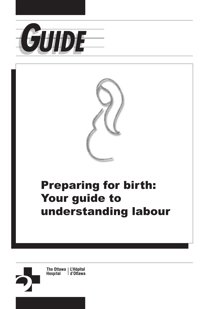



# Preparing for birth: Your guide to understanding labour

The Ottawa | L'Hôpital **Hospital** d'Ottawa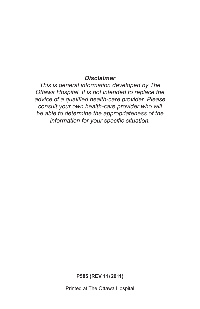#### *Disclaimer*

*This is general information developed by The Ottawa Hospital. It is not intended to replace the advice of a qualified health-care provider. Please consult your own health-care provider who will be able to determine the appropriateness of the information for your specific situation.* 

**P585 (REV 11/2011)** 

Printed at The Ottawa Hospital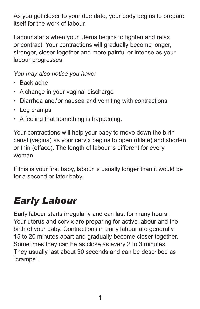As you get closer to your due date, your body begins to prepare itself for the work of labour.

Labour starts when your uterus begins to tighten and relax or contract. Your contractions will gradually become longer, stronger, closer together and more painful or intense as your labour progresses.

*You may also notice you have:* 

- Back ache
- A change in your vaginal discharge
- Diarrhea and/or nausea and vomiting with contractions
- Leg cramps
- A feeling that something is happening.

Your contractions will help your baby to move down the birth canal (vagina) as your cervix begins to open (dilate) and shorten or thin (efface). The length of labour is different for every woman.

If this is your first baby, labour is usually longer than it would be for a second or later baby.

### *Early Labour*

Early labour starts irregularly and can last for many hours. Your uterus and cervix are preparing for active labour and the birth of your baby. Contractions in early labour are generally 15 to 20 minutes apart and gradually become closer together. Sometimes they can be as close as every 2 to 3 minutes. They usually last about 30 seconds and can be described as "cramps".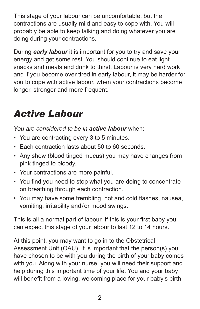This stage of your labour can be uncomfortable, but the contractions are usually mild and easy to cope with. You will probably be able to keep talking and doing whatever you are doing during your contractions.

During *early labour* it is important for you to try and save your energy and get some rest. You should continue to eat light snacks and meals and drink to thirst. Labour is very hard work and if you become over tired in early labour, it may be harder for you to cope with active labour, when your contractions become longer, stronger and more frequent.

### *Active Labour*

*You are considered to be in active labour* when:

- You are contracting every 3 to 5 minutes.
- Each contraction lasts about 50 to 60 seconds.
- Any show (blood tinged mucus) you may have changes from pink tinged to bloody.
- Your contractions are more painful.
- You find you need to stop what you are doing to concentrate on breathing through each contraction.
- You may have some trembling, hot and cold flashes, nausea, vomiting, irritability and/or mood swings.

This is all a normal part of labour. If this is your first baby you can expect this stage of your labour to last 12 to 14 hours.

At this point, you may want to go in to the Obstetrical Assessment Unit (OAU). It is important that the person(s) you have chosen to be with you during the birth of your baby comes with you. Along with your nurse, you will need their support and help during this important time of your life. You and your baby will benefit from a loving, welcoming place for your baby's birth.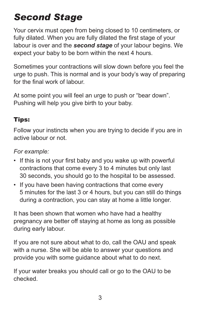## *Second Stage*

Your cervix must open from being closed to 10 centimeters, or fully dilated. When you are fully dilated the first stage of your labour is over and the *second stage* of your labour begins. We expect your baby to be born within the next 4 hours.

Sometimes your contractions will slow down before you feel the urge to push. This is normal and is your body's way of preparing for the final work of labour.

At some point you will feel an urge to push or "bear down". Pushing will help you give birth to your baby.

#### Tips:

Follow your instincts when you are trying to decide if you are in active labour or not.

#### *For example:*

- If this is not your first baby and you wake up with powerful contractions that come every 3 to 4 minutes but only last 30 seconds, you should go to the hospital to be assessed.
- If you have been having contractions that come every 5 minutes for the last 3 or 4 hours, but you can still do things during a contraction, you can stay at home a little longer.

It has been shown that women who have had a healthy pregnancy are better off staying at home as long as possible during early labour.

If you are not sure about what to do, call the OAU and speak with a nurse. She will be able to answer your questions and provide you with some guidance about what to do next.

If your water breaks you should call or go to the OAU to be checked.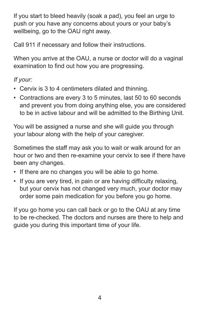If you start to bleed heavily (soak a pad), you feel an urge to push or you have any concerns about yours or your baby's wellbeing, go to the OAU right away.

Call 911 if necessary and follow their instructions.

When you arrive at the OAU, a nurse or doctor will do a vaginal examination to find out how you are progressing.

#### *If your:*

- Cervix is 3 to 4 centimeters dilated and thinning.
- Contractions are every 3 to 5 minutes, last 50 to 60 seconds and prevent you from doing anything else, you are considered to be in active labour and will be admitted to the Birthing Unit.

You will be assigned a nurse and she will guide you through your labour along with the help of your caregiver.

Sometimes the staff may ask you to wait or walk around for an hour or two and then re-examine your cervix to see if there have been any changes.

- If there are no changes you will be able to go home.
- If you are very tired, in pain or are having difficulty relaxing, but your cervix has not changed very much, your doctor may order some pain medication for you before you go home.

If you go home you can call back or go to the OAU at any time to be re-checked. The doctors and nurses are there to help and guide you during this important time of your life.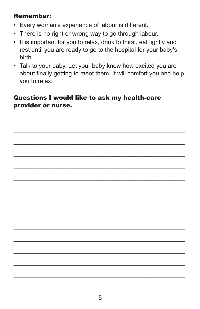#### **Remember:**

- Every woman's experience of labour is different.
- There is no right or wrong way to go through labour.
- It is important for you to relax, drink to thirst, eat lightly and rest until you are ready to go to the hospital for your baby's birth.
- Talk to your baby. Let your baby know how excited you are about finally getting to meet them. It will comfort you and help you to relax.

#### Questions I would like to ask my health-care provider or nurse.

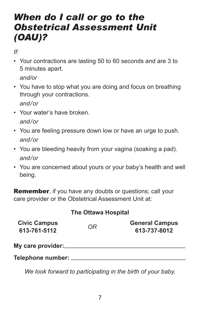### *When do I call or go to the Obstetrical Assessment Unit (OAU)?*

*If:* 

• Your contractions are lasting 50 to 60 seconds and are 3 to 5 minutes apart.

*and/or*

- You have to stop what you are doing and focus on breathing through your contractions. *and/or*
- Your water's have broken. *and/or*
- You are feeling pressure down low or have an urge to push. *and/or*
- You are bleeding heavily from your vagina (soaking a pad). *and/or*
- You are concerned about yours or your baby's health and well being.

**Remember,** if you have any doubts or questions; call your care provider or the Obstetrical Assessment Unit at:

#### **The Ottawa Hospital**

| <b>Civic Campus</b><br>613-761-5112 | OR | <b>General Campus</b><br>613-737-8012 |
|-------------------------------------|----|---------------------------------------|
| My care provider:_                  |    |                                       |
| Telephone number:                   |    |                                       |

*We look forward to participating in the birth of your baby.*